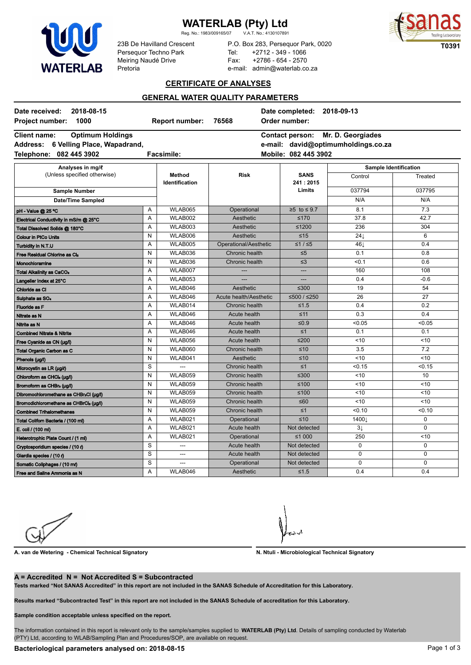# **WATERLAB**

**WATERLAB (Pty) Ltd**<br>Reg. No.: 1983/009165/07 V.A.T. No.: 4130107891

Reg. No.: 1983/009165/07



23B De Havilland Crescent Persequor Techno Park Meiring Naudé Drive Pretoria

P.O. Box 283, Persequor Park, 0020 Tel: +2712 - 349 - 1066 Fax: +2786 - 654 - 2570 e-mail: admin@waterlab.co.za

### **CERTIFICATE OF ANALYSES**

## **GENERAL WATER QUALITY PARAMETERS**

| 2018-08-15<br>Date received:                                                     |              |                          | Date completed: 2018-09-13<br>Order number: |                                   |                                     |             |
|----------------------------------------------------------------------------------|--------------|--------------------------|---------------------------------------------|-----------------------------------|-------------------------------------|-------------|
| 1000<br><b>Project number:</b><br><b>Optimum Holdings</b><br><b>Client name:</b> |              | <b>Report number:</b>    | 76568                                       | <b>Contact person:</b>            | Mr. D. Georgiades                   |             |
| 6 Velling Place, Wapadrand,<br><b>Address:</b>                                   |              |                          |                                             |                                   | e-mail: david@optimumholdings.co.za |             |
| Telephone:<br>082 445 3902                                                       |              | <b>Facsimile:</b>        |                                             | Mobile: 082 445 3902              |                                     |             |
|                                                                                  |              |                          |                                             |                                   |                                     |             |
| Analyses in mg/l<br>(Unless specified otherwise)<br><b>Sample Number</b>         |              | Method<br>Identification | <b>Risk</b>                                 | <b>SANS</b><br>241:2015<br>Limits | Sample Identification               |             |
|                                                                                  |              |                          |                                             |                                   | Control                             | Treated     |
|                                                                                  |              |                          |                                             |                                   | 037794                              | 037795      |
| <b>Date/Time Sampled</b>                                                         |              |                          |                                             |                                   | N/A                                 | N/A         |
| pH - Value @ 25 °C                                                               | Α            | WLAB065                  | Operational                                 | $≥5$ to ≤ 9.7                     | 8.1                                 | 7.3         |
| Electrical Conductivity in mS/m @ 25°C                                           | A            | WLAB002                  | Aesthetic                                   | $≤170$                            | 37.8                                | 42.7        |
| Total Dissolved Solids @ 180°C                                                   | A            | WLAB003                  | Aesthetic                                   | $≤1200$                           | 236                                 | 304         |
| <b>Colour in PtCo Units</b>                                                      | N            | WLAB006                  | Aesthetic                                   | $≤15$                             | $24\downarrow$                      | 6           |
| Turbidity in N.T.U                                                               | Α            | WLAB005                  | Operational/Aesthetic                       | $≤1/≤5$                           | 46⊥                                 | 0.4         |
| Free Residual Chlorine as Cl2                                                    | N            | WLAB036                  | Chronic health                              | $\leq 5$                          | 0.1                                 | 0.8         |
| Monochloramine                                                                   | N            | WLAB036                  | Chronic health                              | $\leq$ 3                          | < 0.1                               | 0.6         |
| <b>Total Alkalinity as CaCO3</b>                                                 | A            | WLAB007                  |                                             | ---                               | 160                                 | 108         |
| Langelier Index at 25°C                                                          | A            | WLAB053                  |                                             |                                   | 0.4                                 | $-0.6$      |
| Chloride as Cl                                                                   | A            | WLAB046                  | Aesthetic                                   | $\leq 300$                        | 19                                  | 54          |
| Sulphate as SO <sub>4</sub>                                                      | A            | WLAB046                  | Acute health/Aesthetic                      | ≤500 / ≤250                       | 26                                  | 27          |
| <b>Fluoride as F</b>                                                             | A            | WLAB014                  | Chronic health                              | $≤1.5$                            | 0.4                                 | 0.2         |
| Nitrate as N                                                                     | A            | WLAB046                  | Acute health                                | $\leq 11$                         | 0.3                                 | 0.4         |
| Nitrite as N                                                                     | Α            | WLAB046                  | Acute health                                | ≤ $0.9$                           | < 0.05                              | < 0.05      |
| <b>Combined Nitrate &amp; Nitrite</b>                                            | Α            | WLAB046                  | Acute health                                | $\leq 1$                          | 0.1                                 | 0.1         |
| Free Cyanide as CN (µg/l)                                                        | N            | WLAB056                  | Acute health                                | $≤200$                            | ~10                                 | $10$        |
| Total Organic Carbon as C                                                        | N            | WLAB060                  | Chronic health                              | ≤10                               | 3.5                                 | 7.2         |
| Phenols (µg/l)                                                                   | N            | WLAB041                  | Aesthetic                                   | ≤10                               | < 10                                | <10         |
| Microcystin as LR (µg/ $\ell$ )                                                  | S            |                          | Chronic health                              | $\leq 1$                          | < 0.15                              | < 0.15      |
| Chloroform as CHCl <sub>3</sub> (µg/l)                                           | N            | WLAB059                  | Chronic health                              | $≤300$                            | < 10                                | 10          |
| Bromoform as CHBr <sub>a</sub> (µg/l)                                            | N            | WLAB059                  | Chronic health                              | $≤100$                            | ~10                                 | < 10        |
| Dibromochloromethane as CHBr2Cl (µg/l)                                           | $\mathsf{N}$ | WLAB059                  | Chronic health                              | $≤100$                            | ~10                                 | < 10        |
| Bromodichloromethane as CHBrCl2 (µg/l)                                           | N            | WLAB059                  | Chronic health                              | $≤60$                             | < 10                                | < 10        |
| <b>Combined Trihalomethanes</b>                                                  | N            | WLAB059                  | Chronic health                              | $\leq 1$                          | < 0.10                              | < 0.10      |
| Total Colifom Bacteria / (100 ml)                                                | A            | WLAB021                  | Operational                                 | ≤10                               | 1400⊥                               | $\mathbf 0$ |
| E. coli / (100 ml)                                                               | A            | WLAB021                  | Acute health                                | Not detected                      | $\overline{3}$                      | $\mathbf 0$ |
| Heterotrophic Plate Count / (1 ml)                                               | A            | WLAB021                  | Operational                                 | ≤1 000                            | 250                                 | ~10         |
| Cryptosporidium species / (10 $\ell$ )                                           | S            | $\overline{a}$           | Acute health                                | Not detected                      | $\mathbf 0$                         | $\mathbf 0$ |
| Giardia species / (10 $\ell$ )                                                   | S            | ---                      | Acute health                                | Not detected                      | $\mathbf{0}$                        | $\Omega$    |
| Somatic Coliphages / (10 me)                                                     | S            | ---                      | Operational                                 | Not detected                      | $\mathbf 0$                         | $\mathbf 0$ |
| Free and Saline Ammonia as N                                                     | A            | WLAB046                  | Aesthetic                                   | $≤1.5$                            | 0.4                                 | 0.4         |

**A. van de Wetering - Chemical Technical Signatory N. Ntuli - Microbiological Technical Signatory**

#### **A = Accredited N = Not Accredited S = Subcontracted**

**Tests marked "Not SANAS Accredited" in this report are not included in the SANAS Schedule of Accreditation for this Laboratory.**

**Results marked "Subcontracted Test" in this report are not included in the SANAS Schedule of accreditation for this Laboratory.**

**Sample condition acceptable unless specified on the report.**

The information contained in this report is relevant only to the sample/samples supplied to **WATERLAB (Pty) Ltd**. Details of sampling conducted by Waterlab (PTY) Ltd, according to WLAB/Sampling Plan and Procedures/SOP, are available on request.

## Bacteriological parameters analysed on: 2018-08-15 **Page 1013** Page 1 of 3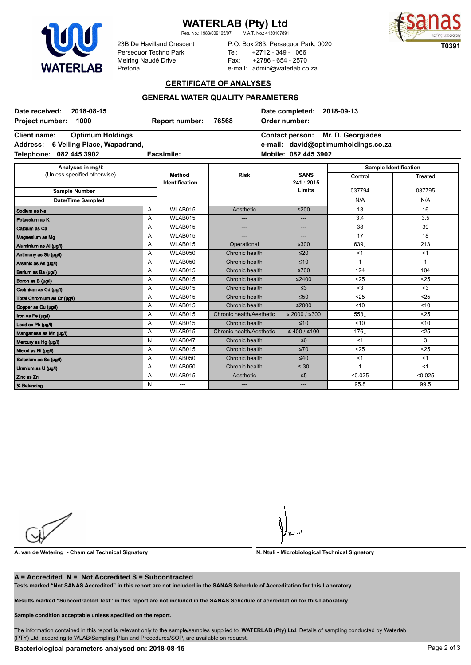# **WATERLAB**

**WATERLAB (Pty) Ltd**<br>Reg. No.: 1983/009165/07 V.A.T. No.: 4130107891

Reg. No.: 1983/009165/07



23B De Havilland Crescent Persequor Techno Park Meiring Naudé Drive Pretoria

P.O. Box 283, Persequor Park, 0020 Tel: +2712 - 349 - 1066 Fax: +2786 - 654 - 2570 e-mail: admin@waterlab.co.za

## **CERTIFICATE OF ANALYSES**

## **GENERAL WATER QUALITY PARAMETERS**

| 2018-08-15<br>Date received:<br>1000<br><b>Project number:</b>                                                                 |   | <b>Report number:</b>           | 76568                    | Date completed:<br>2018-09-13<br>Order number:                                                             |                              |              |  |
|--------------------------------------------------------------------------------------------------------------------------------|---|---------------------------------|--------------------------|------------------------------------------------------------------------------------------------------------|------------------------------|--------------|--|
| <b>Client name:</b><br><b>Optimum Holdings</b><br><b>Address:</b><br>6 Velling Place, Wapadrand,<br>082 445 3902<br>Telephone: |   | <b>Facsimile:</b>               |                          | Mr. D. Georgiades<br><b>Contact person:</b><br>e-mail: david@optimumholdings.co.za<br>Mobile: 082 445 3902 |                              |              |  |
| Analyses in mg/l                                                                                                               |   |                                 |                          |                                                                                                            | <b>Sample Identification</b> |              |  |
| (Unless specified otherwise)<br>Sample Number<br><b>Date/Time Sampled</b>                                                      |   | Method<br><b>Identification</b> | <b>Risk</b>              | <b>SANS</b><br>241:2015<br>Limits                                                                          | Control                      | Treated      |  |
|                                                                                                                                |   |                                 |                          |                                                                                                            | 037794                       | 037795       |  |
|                                                                                                                                |   |                                 |                          |                                                                                                            | N/A                          | N/A          |  |
| Sodium as Na                                                                                                                   | Α | WLAB015                         | Aesthetic                | $≤200$                                                                                                     | 13                           | 16           |  |
| Potassium as K                                                                                                                 | A | WLAB015                         |                          | ---                                                                                                        | 3.4                          | 3.5          |  |
| Calcium as Ca                                                                                                                  | A | WLAB015                         | ---                      | ---                                                                                                        | 38                           | 39           |  |
| Magnesium as Mg                                                                                                                | A | WLAB015                         |                          | ---                                                                                                        | 17                           | 18           |  |
| Aluminium as AI (µg/l)                                                                                                         | A | WLAB015                         | Operational              | $≤300$                                                                                                     | 6391                         | 213          |  |
| Antimony as Sb (µg/l)                                                                                                          | A | WLAB050                         | Chronic health           | $\leq 20$                                                                                                  | <1                           | <1           |  |
| Arsenic as As (µg/l)                                                                                                           | Α | WLAB050                         | Chronic health           | $\leq 10$                                                                                                  | $\mathbf{1}$                 | $\mathbf{1}$ |  |
| Barium as Ba (µg/l)                                                                                                            | A | WLAB015                         | Chronic health           | $≤700$                                                                                                     | 124                          | 104          |  |
| Boron as B (µg/l)                                                                                                              | A | WLAB015                         | Chronic health           | $≤2400$                                                                                                    | $25$                         | $25$         |  |
| Cadmium as Cd (µg/l)                                                                                                           | Α | WLAB015                         | Chronic health           | $\leq$ 3                                                                                                   | $3$                          | $3$          |  |
| Total Chromium as Cr (µg/l)                                                                                                    | Α | WLAB015                         | Chronic health           | $\leq 50$                                                                                                  | $25$                         | $25$         |  |
| Copper as Cu (µg/l)                                                                                                            | A | WLAB015                         | Chronic health           | $≤2000$                                                                                                    | < 10                         | < 10         |  |
| Iron as Fe (µg/l)                                                                                                              | A | WLAB015                         | Chronic health/Aesthetic | $≤ 2000 / ≤300$                                                                                            | 553↓                         | $25$         |  |
| Lead as Pb (µg/l)                                                                                                              | A | WLAB015                         | Chronic health           | $\leq 10$                                                                                                  | < 10                         | < 10         |  |
| Manganese as Mn (µg/l)                                                                                                         | A | WLAB015                         | Chronic health/Aesthetic | ≤ 400 / ≤ 100                                                                                              | 176 <sub>L</sub>             | $25$         |  |
| Mercury as Hg (µg/l)                                                                                                           | N | WLAB047                         | Chronic health           | $\leq 6$                                                                                                   | <1                           | 3            |  |
| Nickel as Ni (µg/l)                                                                                                            | Α | WLAB015                         | Chronic health           | $\leq 70$                                                                                                  | $25$                         | $25$         |  |
| Selenium as Se (µg/l)                                                                                                          | A | WLAB050                         | Chronic health           | $\leq 40$                                                                                                  | <1                           | <1           |  |
| Uranium as U (µg/l)                                                                                                            | A | WLAB050                         | Chronic health           | $\leq 30$                                                                                                  | $\overline{1}$               | <1           |  |
| Zinc as Zn                                                                                                                     | A | WLAB015                         | Aesthetic                | $\leq 5$                                                                                                   | < 0.025                      | < 0.025      |  |
| % Balancing                                                                                                                    | N | ---                             | ---                      | ---                                                                                                        | 95.8                         | 99.5         |  |

**A. van de Wetering - Chemical Technical Signatory N. Ntuli - Microbiological Technical Signatory**

#### **A = Accredited N = Not Accredited S = Subcontracted**

**Tests marked "Not SANAS Accredited" in this report are not included in the SANAS Schedule of Accreditation for this Laboratory.**

**Results marked "Subcontracted Test" in this report are not included in the SANAS Schedule of accreditation for this Laboratory.**

**Sample condition acceptable unless specified on the report.**

The information contained in this report is relevant only to the sample/samples supplied to **WATERLAB (Pty) Ltd**. Details of sampling conducted by Waterlab (PTY) Ltd, according to WLAB/Sampling Plan and Procedures/SOP, are available on request.